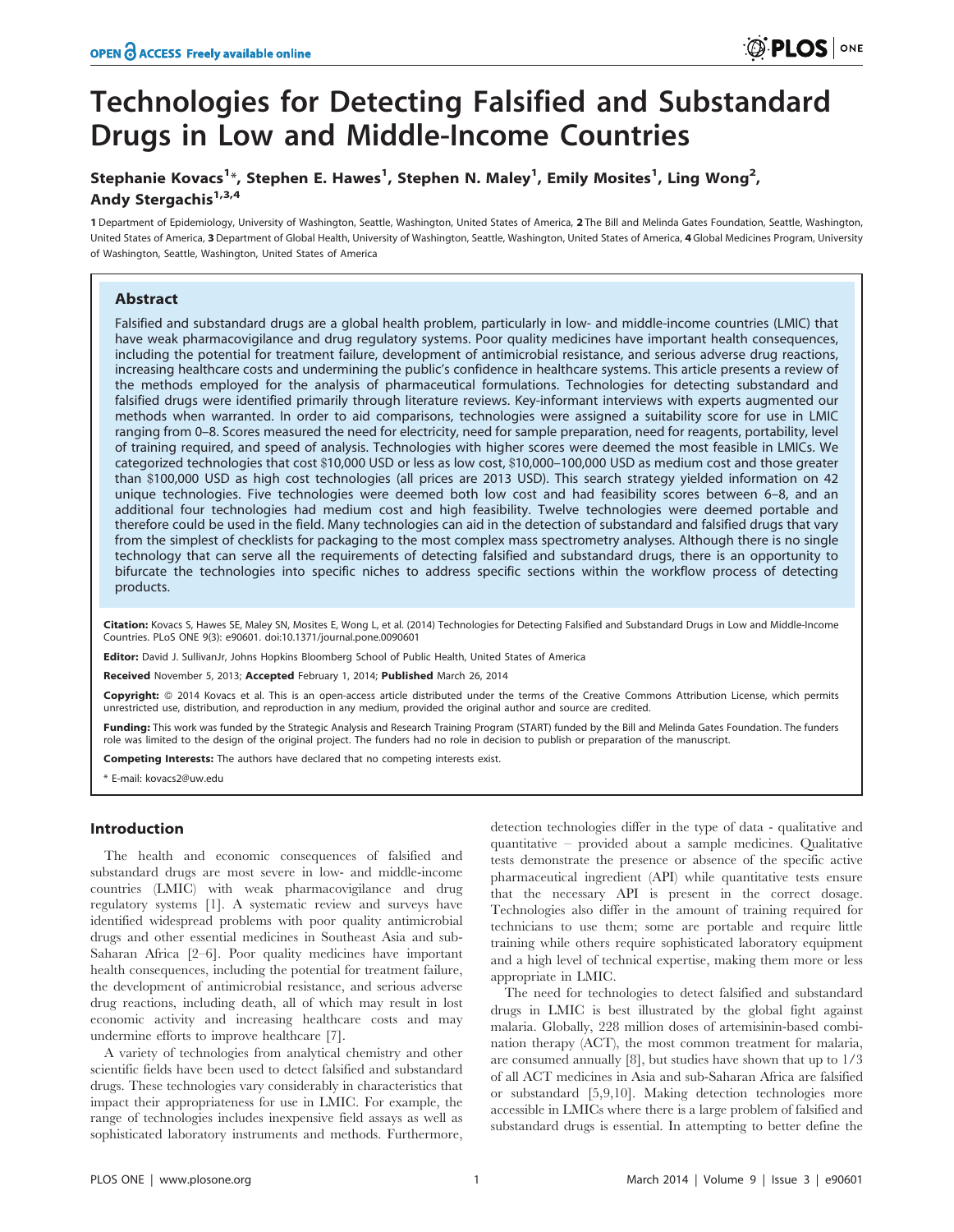# Technologies for Detecting Falsified and Substandard Drugs in Low and Middle-Income Countries

# Stephanie Kovacs<sup>1</sup>\*, Stephen E. Hawes<sup>1</sup>, Stephen N. Maley<sup>1</sup>, Emily Mosites<sup>1</sup>, Ling Wong<sup>2</sup>, Andy Stergachis<sup>1,3,4</sup>

1 Department of Epidemiology, University of Washington, Seattle, Washington, United States of America, 2 The Bill and Melinda Gates Foundation, Seattle, Washington, United States of America, 3 Department of Global Health, University of Washington, Seattle, Washington, United States of America, 4 Global Medicines Program, University of Washington, Seattle, Washington, United States of America

### Abstract

Falsified and substandard drugs are a global health problem, particularly in low- and middle-income countries (LMIC) that have weak pharmacovigilance and drug regulatory systems. Poor quality medicines have important health consequences, including the potential for treatment failure, development of antimicrobial resistance, and serious adverse drug reactions, increasing healthcare costs and undermining the public's confidence in healthcare systems. This article presents a review of the methods employed for the analysis of pharmaceutical formulations. Technologies for detecting substandard and falsified drugs were identified primarily through literature reviews. Key-informant interviews with experts augmented our methods when warranted. In order to aid comparisons, technologies were assigned a suitability score for use in LMIC ranging from 0–8. Scores measured the need for electricity, need for sample preparation, need for reagents, portability, level of training required, and speed of analysis. Technologies with higher scores were deemed the most feasible in LMICs. We categorized technologies that cost \$10,000 USD or less as low cost, \$10,000–100,000 USD as medium cost and those greater than \$100,000 USD as high cost technologies (all prices are 2013 USD). This search strategy yielded information on 42 unique technologies. Five technologies were deemed both low cost and had feasibility scores between 6–8, and an additional four technologies had medium cost and high feasibility. Twelve technologies were deemed portable and therefore could be used in the field. Many technologies can aid in the detection of substandard and falsified drugs that vary from the simplest of checklists for packaging to the most complex mass spectrometry analyses. Although there is no single technology that can serve all the requirements of detecting falsified and substandard drugs, there is an opportunity to bifurcate the technologies into specific niches to address specific sections within the workflow process of detecting products.

Citation: Kovacs S, Hawes SE, Maley SN, Mosites E, Wong L, et al. (2014) Technologies for Detecting Falsified and Substandard Drugs in Low and Middle-Income Countries. PLoS ONE 9(3): e90601. doi:10.1371/journal.pone.0090601

Editor: David J. SullivanJr, Johns Hopkins Bloomberg School of Public Health, United States of America

Received November 5, 2013; Accepted February 1, 2014; Published March 26, 2014

Copyright: © 2014 Kovacs et al. This is an open-access article distributed under the terms of the [Creative Commons Attribution License](http://creativecommons.org/licenses/by/4.0/), which permits unrestricted use, distribution, and reproduction in any medium, provided the original author and source are credited.

Funding: This work was funded by the Strategic Analysis and Research Training Program (START) funded by the Bill and Melinda Gates Foundation. The funders role was limited to the design of the original project. The funders had no role in decision to publish or preparation of the manuscript.

Competing Interests: The authors have declared that no competing interests exist.

\* E-mail: kovacs2@uw.edu

#### Introduction

The health and economic consequences of falsified and substandard drugs are most severe in low- and middle-income countries (LMIC) with weak pharmacovigilance and drug regulatory systems [1]. A systematic review and surveys have identified widespread problems with poor quality antimicrobial drugs and other essential medicines in Southeast Asia and sub-Saharan Africa [2–6]. Poor quality medicines have important health consequences, including the potential for treatment failure, the development of antimicrobial resistance, and serious adverse drug reactions, including death, all of which may result in lost economic activity and increasing healthcare costs and may undermine efforts to improve healthcare [7].

A variety of technologies from analytical chemistry and other scientific fields have been used to detect falsified and substandard drugs. These technologies vary considerably in characteristics that impact their appropriateness for use in LMIC. For example, the range of technologies includes inexpensive field assays as well as sophisticated laboratory instruments and methods. Furthermore,

detection technologies differ in the type of data - qualitative and quantitative – provided about a sample medicines. Qualitative tests demonstrate the presence or absence of the specific active pharmaceutical ingredient (API) while quantitative tests ensure that the necessary API is present in the correct dosage. Technologies also differ in the amount of training required for technicians to use them; some are portable and require little training while others require sophisticated laboratory equipment and a high level of technical expertise, making them more or less appropriate in LMIC.

The need for technologies to detect falsified and substandard drugs in LMIC is best illustrated by the global fight against malaria. Globally, 228 million doses of artemisinin-based combination therapy (ACT), the most common treatment for malaria, are consumed annually [8], but studies have shown that up to 1/3 of all ACT medicines in Asia and sub-Saharan Africa are falsified or substandard [5,9,10]. Making detection technologies more accessible in LMICs where there is a large problem of falsified and substandard drugs is essential. In attempting to better define the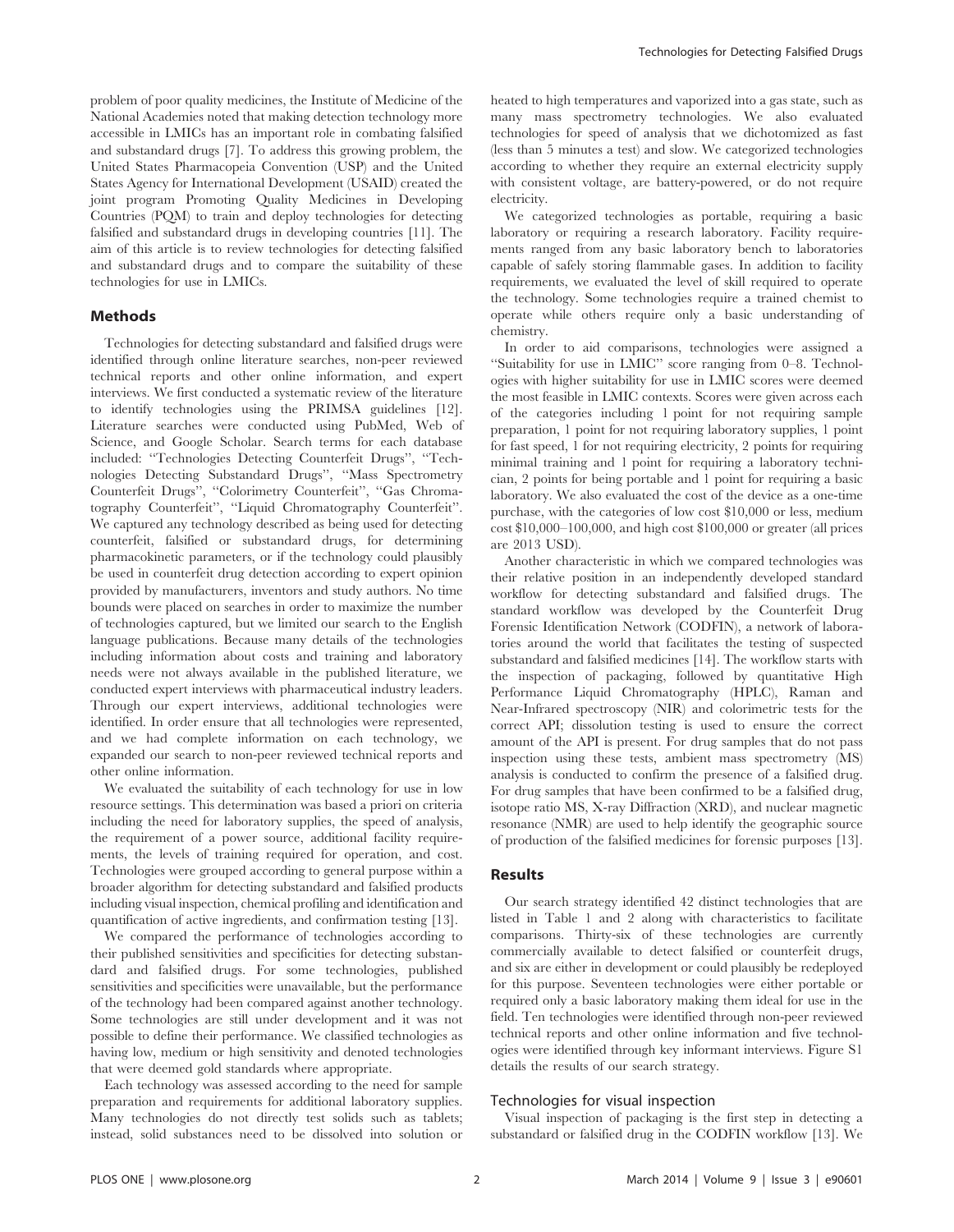problem of poor quality medicines, the Institute of Medicine of the National Academies noted that making detection technology more accessible in LMICs has an important role in combating falsified and substandard drugs [7]. To address this growing problem, the United States Pharmacopeia Convention (USP) and the United States Agency for International Development (USAID) created the joint program Promoting Quality Medicines in Developing Countries (PQM) to train and deploy technologies for detecting falsified and substandard drugs in developing countries [11]. The aim of this article is to review technologies for detecting falsified and substandard drugs and to compare the suitability of these technologies for use in LMICs.

#### Methods

Technologies for detecting substandard and falsified drugs were identified through online literature searches, non-peer reviewed technical reports and other online information, and expert interviews. We first conducted a systematic review of the literature to identify technologies using the PRIMSA guidelines [12]. Literature searches were conducted using PubMed, Web of Science, and Google Scholar. Search terms for each database included: ''Technologies Detecting Counterfeit Drugs'', ''Technologies Detecting Substandard Drugs'', ''Mass Spectrometry Counterfeit Drugs'', ''Colorimetry Counterfeit'', ''Gas Chromatography Counterfeit'', ''Liquid Chromatography Counterfeit''. We captured any technology described as being used for detecting counterfeit, falsified or substandard drugs, for determining pharmacokinetic parameters, or if the technology could plausibly be used in counterfeit drug detection according to expert opinion provided by manufacturers, inventors and study authors. No time bounds were placed on searches in order to maximize the number of technologies captured, but we limited our search to the English language publications. Because many details of the technologies including information about costs and training and laboratory needs were not always available in the published literature, we conducted expert interviews with pharmaceutical industry leaders. Through our expert interviews, additional technologies were identified. In order ensure that all technologies were represented, and we had complete information on each technology, we expanded our search to non-peer reviewed technical reports and other online information.

We evaluated the suitability of each technology for use in low resource settings. This determination was based a priori on criteria including the need for laboratory supplies, the speed of analysis, the requirement of a power source, additional facility requirements, the levels of training required for operation, and cost. Technologies were grouped according to general purpose within a broader algorithm for detecting substandard and falsified products including visual inspection, chemical profiling and identification and quantification of active ingredients, and confirmation testing [13].

We compared the performance of technologies according to their published sensitivities and specificities for detecting substandard and falsified drugs. For some technologies, published sensitivities and specificities were unavailable, but the performance of the technology had been compared against another technology. Some technologies are still under development and it was not possible to define their performance. We classified technologies as having low, medium or high sensitivity and denoted technologies that were deemed gold standards where appropriate.

Each technology was assessed according to the need for sample preparation and requirements for additional laboratory supplies. Many technologies do not directly test solids such as tablets; instead, solid substances need to be dissolved into solution or

heated to high temperatures and vaporized into a gas state, such as many mass spectrometry technologies. We also evaluated technologies for speed of analysis that we dichotomized as fast (less than 5 minutes a test) and slow. We categorized technologies according to whether they require an external electricity supply with consistent voltage, are battery-powered, or do not require electricity.

We categorized technologies as portable, requiring a basic laboratory or requiring a research laboratory. Facility requirements ranged from any basic laboratory bench to laboratories capable of safely storing flammable gases. In addition to facility requirements, we evaluated the level of skill required to operate the technology. Some technologies require a trained chemist to operate while others require only a basic understanding of chemistry.

In order to aid comparisons, technologies were assigned a ''Suitability for use in LMIC'' score ranging from 0–8. Technologies with higher suitability for use in LMIC scores were deemed the most feasible in LMIC contexts. Scores were given across each of the categories including 1 point for not requiring sample preparation, 1 point for not requiring laboratory supplies, 1 point for fast speed, 1 for not requiring electricity, 2 points for requiring minimal training and 1 point for requiring a laboratory technician, 2 points for being portable and 1 point for requiring a basic laboratory. We also evaluated the cost of the device as a one-time purchase, with the categories of low cost \$10,000 or less, medium cost \$10,000–100,000, and high cost \$100,000 or greater (all prices are 2013 USD).

Another characteristic in which we compared technologies was their relative position in an independently developed standard workflow for detecting substandard and falsified drugs. The standard workflow was developed by the Counterfeit Drug Forensic Identification Network (CODFIN), a network of laboratories around the world that facilitates the testing of suspected substandard and falsified medicines [14]. The workflow starts with the inspection of packaging, followed by quantitative High Performance Liquid Chromatography (HPLC), Raman and Near-Infrared spectroscopy (NIR) and colorimetric tests for the correct API; dissolution testing is used to ensure the correct amount of the API is present. For drug samples that do not pass inspection using these tests, ambient mass spectrometry (MS) analysis is conducted to confirm the presence of a falsified drug. For drug samples that have been confirmed to be a falsified drug, isotope ratio MS, X-ray Diffraction (XRD), and nuclear magnetic resonance (NMR) are used to help identify the geographic source of production of the falsified medicines for forensic purposes [13].

#### Results

Our search strategy identified 42 distinct technologies that are listed in Table 1 and 2 along with characteristics to facilitate comparisons. Thirty-six of these technologies are currently commercially available to detect falsified or counterfeit drugs, and six are either in development or could plausibly be redeployed for this purpose. Seventeen technologies were either portable or required only a basic laboratory making them ideal for use in the field. Ten technologies were identified through non-peer reviewed technical reports and other online information and five technologies were identified through key informant interviews. Figure S1 details the results of our search strategy.

#### Technologies for visual inspection

Visual inspection of packaging is the first step in detecting a substandard or falsified drug in the CODFIN workflow [13]. We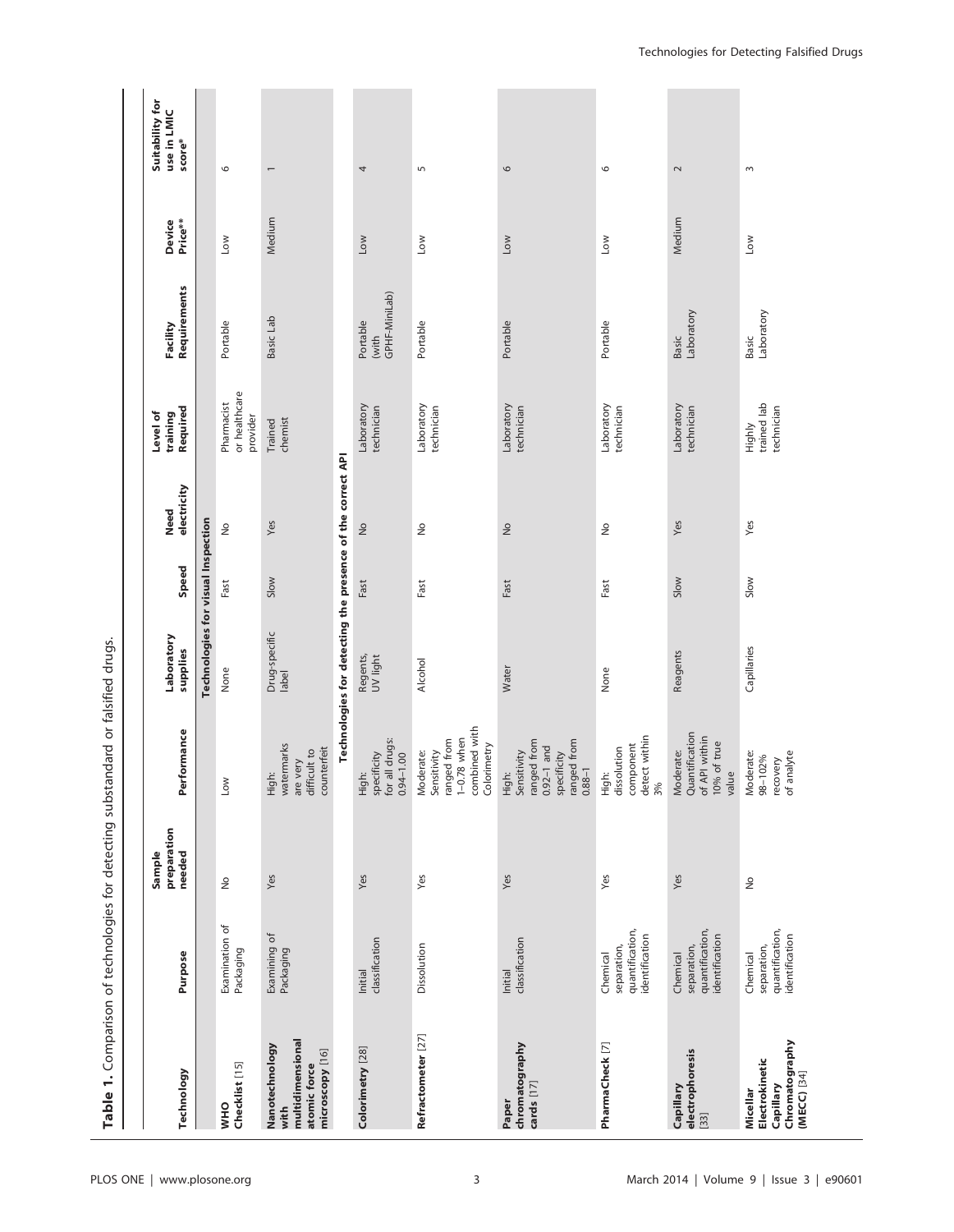| Table 1. Comparison of technologies for detecting substandard or falsified drugs. |                                                              |                                 |                                                                                                 |                                                            |       |                     |                                         |                                    |                          |                                          |
|-----------------------------------------------------------------------------------|--------------------------------------------------------------|---------------------------------|-------------------------------------------------------------------------------------------------|------------------------------------------------------------|-------|---------------------|-----------------------------------------|------------------------------------|--------------------------|------------------------------------------|
| Technology                                                                        | Purpose                                                      | preparation<br>needed<br>Sample | Performance                                                                                     | Laboratory<br>supplies                                     | Speed | electricity<br>Need | Required<br>Level of<br>training        | Requirements<br>Facility           | Price**<br><b>Device</b> | Suitability for<br>use in LMIC<br>score* |
|                                                                                   |                                                              |                                 |                                                                                                 | Technologies for visual Inspection                         |       |                     |                                         |                                    |                          |                                          |
| Checklist [15]<br><b>OHM</b>                                                      | Examination of<br>Packaging                                  | $\geq$                          | Low                                                                                             | None                                                       | Fast  | ş                   | or healthcare<br>Pharmacist<br>provider | Portable                           | $\sim$                   | $\circ$                                  |
| multidimensional<br>Nanotechnology<br>microscopy [16]<br>atomic force<br>with     | Examining of<br>Packaging                                    | Yes                             | watermarks<br>counterfeit<br>difficult to<br>are very<br>High:                                  | Drug-specific<br>label                                     | Slow  | Yes                 | chemist<br>Trained                      | Basic Lab                          | Medium                   | $\overline{\phantom{0}}$                 |
|                                                                                   |                                                              |                                 |                                                                                                 | Technologies for detecting the presence of the correct API |       |                     |                                         |                                    |                          |                                          |
| Colorimetry [28]                                                                  | classification<br>Initial                                    | Yes                             | for all drugs:<br>High:<br>specificity<br>$0.94 - 1.00$                                         | Regents,<br>UV light                                       | Fast  | $\frac{1}{2}$       | Laboratory<br>technician                | GPHF-MiniLab)<br>Portable<br>(with | <b>NOT</b>               | 4                                        |
| Refractometer [27]                                                                | Dissolution                                                  | Yes                             | combined with<br>Colorimetry<br>$1-0.78$ when<br>Sensitivity<br>ranged from<br>Moderate:        | <b>Alcohol</b>                                             | Fast  | å                   | Laboratory<br>technician                | Portable                           | Low                      | $\overline{5}$                           |
| chromatography<br>cards [17]<br>Paper                                             | classification<br>Initial                                    | Yes                             | ranged from<br>ranged from<br>$0.92-1$ and<br>High:<br>Sensitivity<br>specificity<br>$0.88 - 1$ | Water                                                      | Fast  | $\frac{1}{2}$       | Laboratory<br>technician                | Portable                           | <b>NOT</b>               | 9                                        |
| PharmaCheck [7]                                                                   | quantification,<br>identification<br>separation,<br>Chemical | Yes                             | detect within<br>component<br>High:<br>dissolution<br>3%                                        | None                                                       | Fast  | $\frac{1}{2}$       | Laboratory<br>technician                | Portable                           | Low                      | $\circ$                                  |
| electrophoresis<br>Capillary<br>$[33]$                                            | quantification,<br>identification<br>separation,<br>Chemical | Yes                             | Moderate:<br>Quantification<br>of API within<br>10% of true<br>value                            | Reagents                                                   | Slow  | Yes                 | Laboratory<br>technician                | Laboratory<br><b>Basic</b>         | Medium                   | $\sim$                                   |
| Chromatography<br>Electrokinetic<br>$(MECC)$ [34]<br>Capillary<br>Micellar        | quantification,<br>identification<br>separation,<br>Chemical | $\frac{1}{2}$                   | analyte<br>Moderate:<br>98-102%<br>recovery<br>of analyte                                       | Capillaries                                                | Slow  | Yes                 | trained lab<br>technician<br>Highly     | Laboratory<br>Basic                | <b>NOT</b>               | $\sim$                                   |

# PLOS ONE | www.plosone.org 3 March 2014 | Volume 9 | Issue 3 | e90601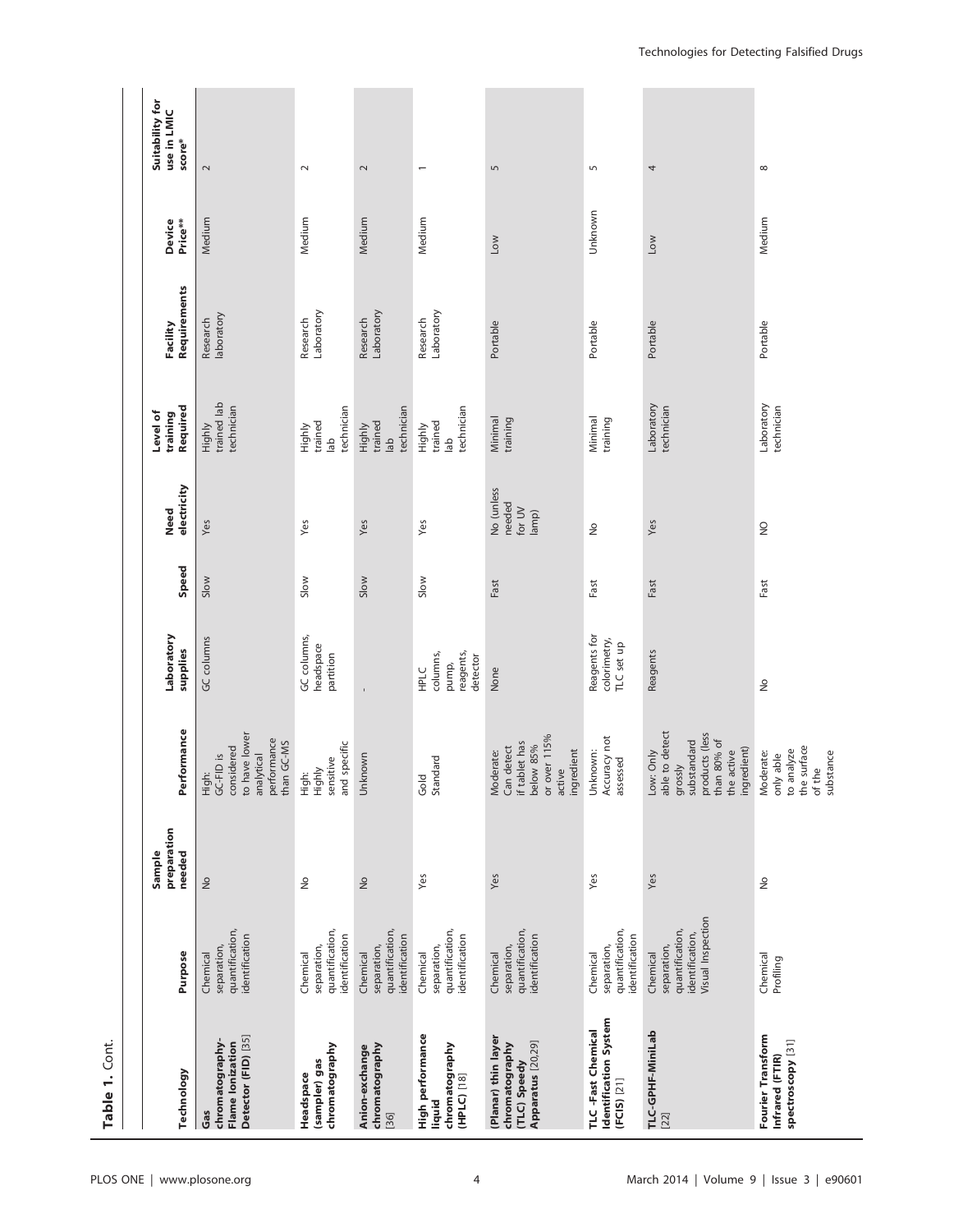| Table 1. Cont.                                                                    |                                                                                    |                                 |                                                                                                                     |                                                    |       |                                         |                                                   |                          |                   |                                          |
|-----------------------------------------------------------------------------------|------------------------------------------------------------------------------------|---------------------------------|---------------------------------------------------------------------------------------------------------------------|----------------------------------------------------|-------|-----------------------------------------|---------------------------------------------------|--------------------------|-------------------|------------------------------------------|
|                                                                                   |                                                                                    |                                 |                                                                                                                     |                                                    |       |                                         |                                                   |                          |                   |                                          |
| Technology                                                                        | Purpose                                                                            | preparation<br>Sample<br>needed | Performance                                                                                                         | Laboratory<br>supplies                             | Speed | Need<br>electricity                     | Required<br>Level of<br>training                  | Facility<br>Requirements | Price**<br>Device | Suitability for<br>use in LMIC<br>score* |
| Detector (FID) [35]<br>chromatography-<br><b>Flame lonization</b><br>Gas          | quantification,<br>identification<br>separation,<br>Chemical                       | $\frac{1}{2}$                   | to have lower<br>performance<br>than GC-MS<br>considered<br>High:<br>GC-FID is<br>analytical                        | GC columns                                         | Slow  | Yes                                     | Highly<br>trained lab<br>technician               | Research<br>laboratory   | Medium            | $\sim$                                   |
| chromatography<br>(sampler) gas<br>Headspace                                      | quantification,<br>identification<br>separation,<br>Chemical                       | $\frac{1}{2}$                   | and specific<br>sensitive<br>Highly<br>High:                                                                        | GC columns,<br>headspace<br>partition              | Slow  | Yes                                     | technician<br>Highly<br>trained<br>d              | Laboratory<br>Research   | Medium            | $\sim$                                   |
| chromatography<br>Anion-exchange<br>[36]                                          | quantification,<br>identification<br>separation,<br>Chemical                       | $\frac{1}{2}$                   | Unknown                                                                                                             |                                                    | Slow  | Yes                                     | technician<br>Highly<br>trained<br>lab            | Laboratory<br>Research   | Medium            | $\sim$                                   |
| High performance<br>chromatography<br>(HPLC) [18]<br>liquid                       | quantification,<br>identification<br>separation,<br>Chemical                       | Yes                             | Gold<br>Standard                                                                                                    | reagents,<br>columns,<br>detector<br>pump,<br>HPLC | Slow  | Yes                                     | technician<br>trained<br>Highly<br>$\frac{ab}{b}$ | Research<br>Laboratory   | Medium            | $\overline{ }$                           |
| (Planar) thin layer<br>Apparatus [20,29]<br>chromatography<br><b>TLC</b> ) Speedy | quantification,<br>identification<br>separation,<br>Chemical                       | Yes                             | or over 115%<br>if tablet has<br>below 85%<br>Moderate:<br>Can detect<br>ingredient<br>active                       | None                                               | Fast  | No (unless<br>needed<br>for UV<br>lamp) | Minimal<br>training                               | Portable                 | <b>NOT</b>        | $\overline{5}$                           |
| Identification System<br>TLC-Fast Chemical<br>$(FCIS)$ [21]                       | quantification,<br>identification<br>separation,<br>Chemical                       | Yes                             | Accuracy not<br>Unknown:<br>assessed                                                                                | Reagents for<br>colorimetry,<br>TLC set up         | Fast  | $\frac{1}{2}$                           | Minimal<br>training                               | Portable                 | Unknown           | S                                        |
| TLC-GPHF-MiniLab<br>[22]                                                          | Visual Inspection<br>quantification,<br>identification,<br>separation,<br>Chemical | Yes                             | Low: Only<br>able to detect<br>products (less<br>than 80% of<br>substandard<br>ingredient)<br>the active<br>grossly | Reagents                                           | Fast  | Yes                                     | Laboratory<br>technician                          | Portable                 | Low               | 4                                        |
| Fourier Transform<br>spectroscopy [31]<br>Infrared (FTIR)                         | Chemical<br>Profiling                                                              | $\frac{\circ}{\sim}$            | the surface<br>to analyze<br>Moderate:<br>substance<br>only able<br>of the                                          | $\frac{\circ}{\sim}$                               | Fast  | $\frac{0}{2}$                           | Laboratory<br>technician                          | Portable                 | Medium            | ${}^{\circ}$                             |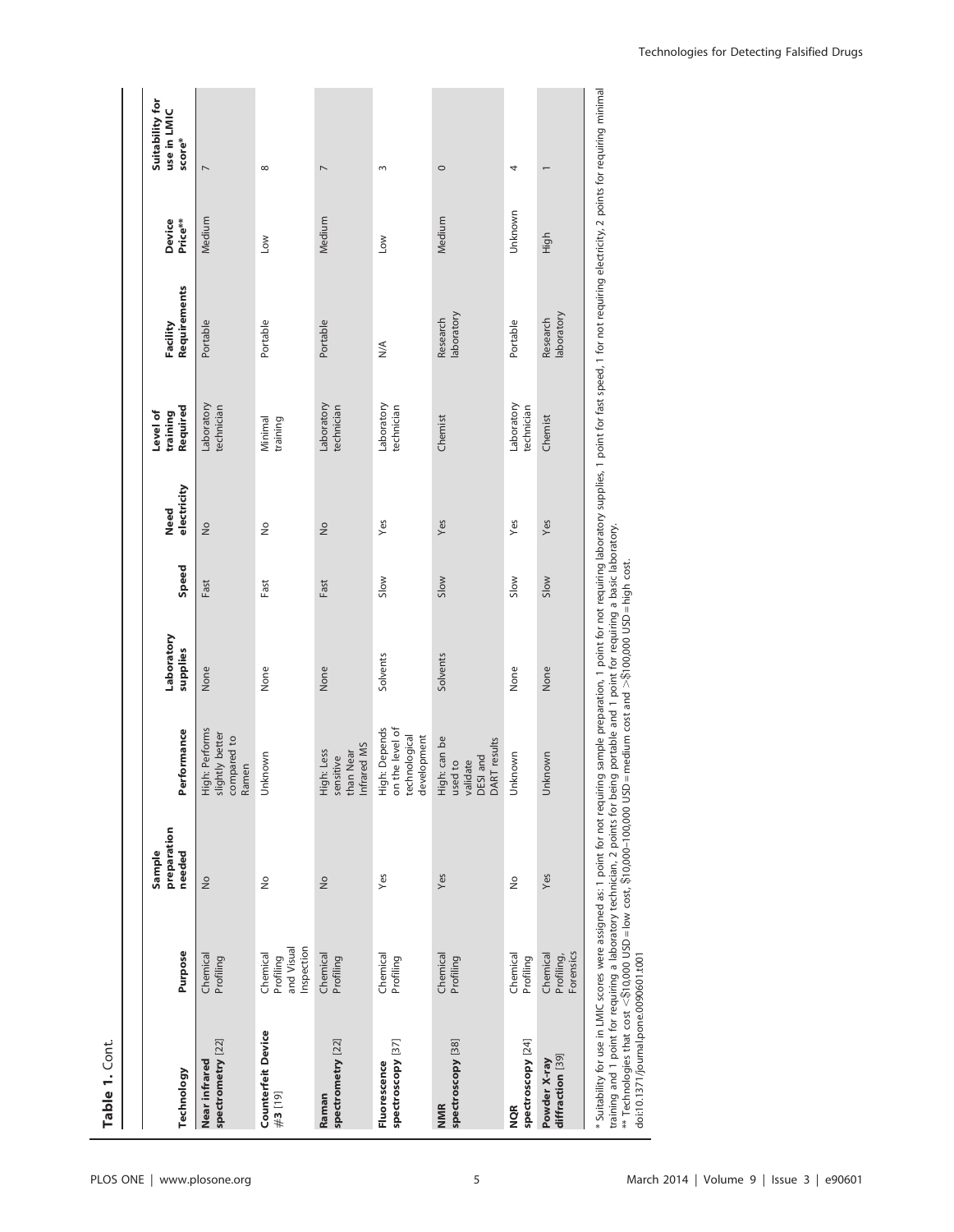| Technology                                                                                                                                                                                             | Purpose                                           | preparation<br>Sample<br>needed | Performance                                                      | Laboratory<br>supplies | Speed | electricity<br>Need | Required<br>Level of<br>training | Requirements<br>Facility     | Device<br>Price** | Suitability for<br>use in LMIC<br>score* |
|--------------------------------------------------------------------------------------------------------------------------------------------------------------------------------------------------------|---------------------------------------------------|---------------------------------|------------------------------------------------------------------|------------------------|-------|---------------------|----------------------------------|------------------------------|-------------------|------------------------------------------|
| spectrometry [22]<br>Near infrared                                                                                                                                                                     | Chemical<br>Profiling                             | $\frac{1}{2}$                   | High: Performs<br>slightly better<br>compared to<br>Ramen        | None                   | Fast  | $\frac{1}{2}$       | Laboratory<br>technician         | Portable                     | Medium            | $\overline{ }$                           |
| <b>Counterfeit Device</b><br>#3[19]                                                                                                                                                                    | Inspection<br>and Visual<br>Chemical<br>Profiling | $\frac{1}{2}$                   | Unknown                                                          | None                   | Fast  | $\frac{1}{2}$       | Minimal<br>training              | Portable                     | Low               | $\infty$                                 |
| spectrometry [22]<br>Raman                                                                                                                                                                             | Chemical<br>Profiling                             | $\frac{1}{2}$                   | Infrared MS<br>High: Less<br>than Near<br>sensitive              | None                   | Fast  | $\frac{1}{2}$       | Laboratory<br>technician         | Portable                     | Medium            | $\overline{ }$                           |
| spectroscopy [37]<br>Fluorescence                                                                                                                                                                      | Chemical<br>Profiling                             | Yes                             | High: Depends<br>on the level of<br>technological<br>development | Solvents               | Slow  | Yes                 | Laboratory<br>technician         | $\stackrel{\triangle}{\geq}$ | Low               | 3                                        |
| spectroscopy [38]<br><b>NMR</b>                                                                                                                                                                        | Chemical<br>Profiling                             | Yes                             | High: can be<br>validate<br>DESI and<br>DART results<br>used to  | Solvents               | Slow  | Yes                 | Chemist                          | laboratory<br>Research       | Medium            | $\circ$                                  |
| spectroscopy [24]<br><b>NQR</b>                                                                                                                                                                        | Chemical<br>Profiling                             | $\stackrel{\circ}{\geq}$        | Unknown                                                          | None                   | Slow  | Yes                 | Laboratory<br>technician         | Portable                     | Unknown           | 4                                        |
| diffraction [39]<br>Powder X-ray                                                                                                                                                                       | Profiling,<br>Forensics<br>Chemical               | Yes                             | Unknown                                                          | None                   | Slow  | Yes                 | Chemist                          | laboratory<br>Research       | High              |                                          |
| * Suitability for use in LMIC scores were assigned as: 1 point for not requing point for not requing supplies, 1 point for fast speed, 1 for not requiring electricity, 2 points for requiring minimal |                                                   |                                 |                                                                  |                        |       |                     |                                  |                              |                   |                                          |

training and 1 point for requiring a laboratory technician, 2 points for being portable and 1 point for requiring a basic iaboratory.<br>\*\* Technologies that cost <\$10,000 USD=low cost, \$10,000–100,000 USD=medium cost and >\$1 training and 1 point for requiring a laboratory technician, 2 points for being portable and 1 point for requiring a basic laboratory.  $>\$100,000$  USD = high cost.  $\leq$ \$10,000 USD = low cost, \$10,000–100,000 USD = medium cost and doi:10.1371/journal.pone.0090601.t001 \*\* Technologies that cost

PLOS ONE | www.plosone.org | www.plosone.org | state 3 | e90601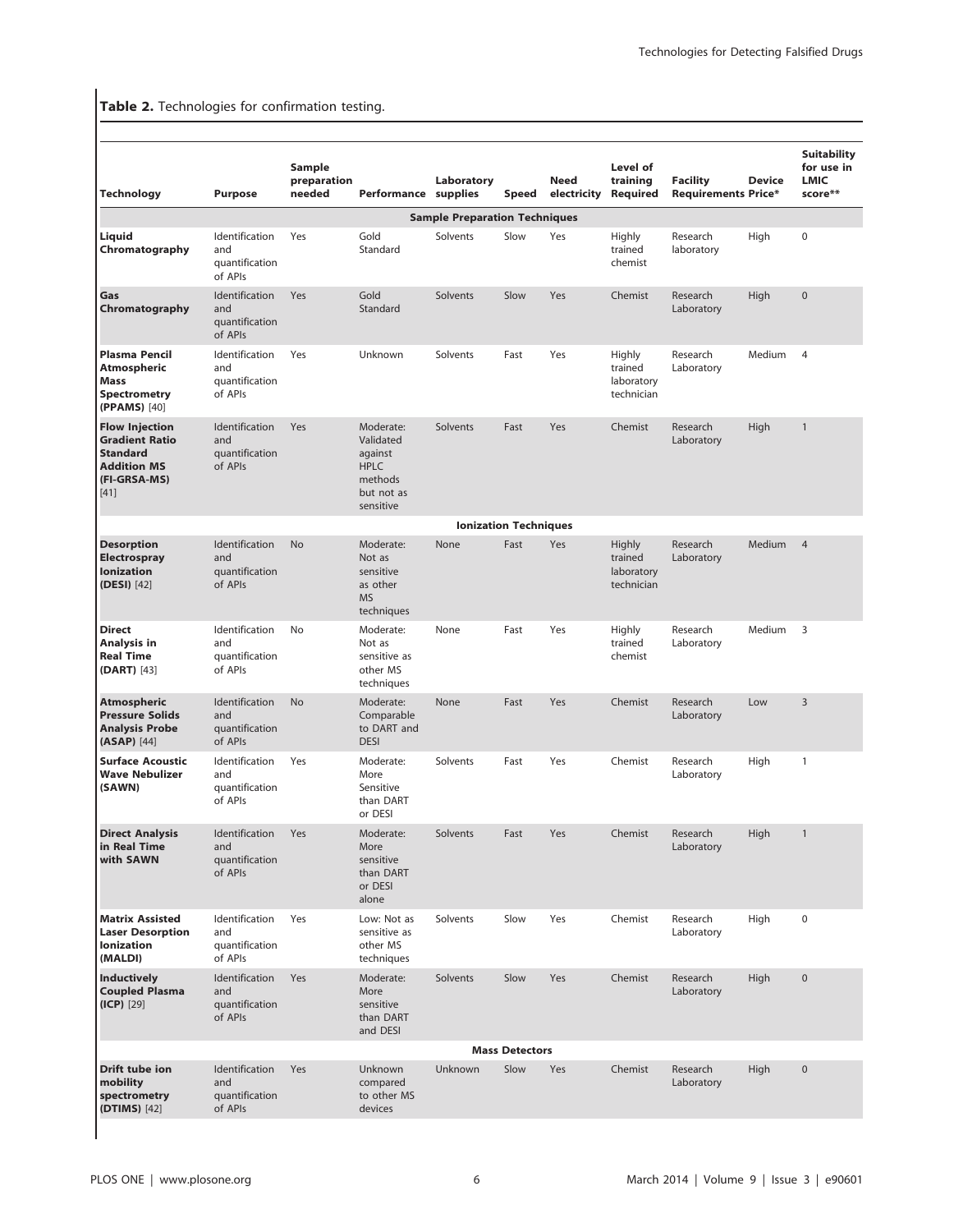# Table 2. Technologies for confirmation testing.

| Liquid<br>Chromatography<br>and<br>Gas<br>Chromatography<br>Plasma Pencil<br>Atmospheric<br><b>Mass</b>           | Identification<br>quantification<br>of APIs<br>Identification<br>and<br>quantification<br>of APIs<br>Identification<br>and | Yes<br>Yes | Gold<br>Standard<br>Gold                                                               | <b>Sample Preparation Techniques</b><br>Solvents | Slow                         |     |                                                      |                        |        |                |
|-------------------------------------------------------------------------------------------------------------------|----------------------------------------------------------------------------------------------------------------------------|------------|----------------------------------------------------------------------------------------|--------------------------------------------------|------------------------------|-----|------------------------------------------------------|------------------------|--------|----------------|
|                                                                                                                   |                                                                                                                            |            |                                                                                        |                                                  |                              |     |                                                      |                        |        |                |
|                                                                                                                   |                                                                                                                            |            |                                                                                        |                                                  |                              | Yes | Highly<br>trained<br>chemist                         | Research<br>laboratory | High   | $\mathbf 0$    |
|                                                                                                                   |                                                                                                                            |            | Standard                                                                               | Solvents                                         | Slow                         | Yes | Chemist                                              | Research<br>Laboratory | High   | $\mathbf 0$    |
| <b>Spectrometry</b><br>(PPAMS) [40]                                                                               | quantification<br>of APIs                                                                                                  | Yes        | Unknown                                                                                | Solvents                                         | Fast                         | Yes | Highly<br>trained<br>laboratory<br>technician        | Research<br>Laboratory | Medium | $\overline{4}$ |
| <b>Flow Injection</b><br><b>Gradient Ratio</b><br><b>Standard</b><br><b>Addition MS</b><br>(FI-GRSA-MS)<br>$[41]$ | Identification<br>and<br>quantification<br>of APIs                                                                         | Yes        | Moderate:<br>Validated<br>against<br><b>HPLC</b><br>methods<br>but not as<br>sensitive | Solvents                                         | Fast                         | Yes | Chemist                                              | Research<br>Laboratory | High   | $\mathbf{1}$   |
|                                                                                                                   |                                                                                                                            |            |                                                                                        |                                                  | <b>Ionization Techniques</b> |     |                                                      |                        |        |                |
| <b>Desorption</b><br>Electrospray<br>and<br><b>Ionization</b><br>(DESI) [42]                                      | Identification<br>quantification<br>of APIs                                                                                | <b>No</b>  | Moderate:<br>Not as<br>sensitive<br>as other<br><b>MS</b><br>techniques                | None                                             | Fast                         | Yes | <b>Highly</b><br>trained<br>laboratory<br>technician | Research<br>Laboratory | Medium | $\overline{4}$ |
| <b>Direct</b><br>Analysis in<br><b>Real Time</b><br><b>(DART)</b> [43]                                            | Identification<br>and<br>quantification<br>of APIs                                                                         | No         | Moderate:<br>Not as<br>sensitive as<br>other MS<br>techniques                          | None                                             | Fast                         | Yes | Highly<br>trained<br>chemist                         | Research<br>Laboratory | Medium | 3              |
| <b>Atmospheric</b><br><b>Pressure Solids</b><br>and<br><b>Analysis Probe</b><br>$(ASAP)$ [44]                     | Identification<br>quantification<br>of APIs                                                                                | <b>No</b>  | Moderate:<br>Comparable<br>to DART and<br><b>DESI</b>                                  | None                                             | Fast                         | Yes | Chemist                                              | Research<br>Laboratory | Low    | 3              |
| <b>Surface Acoustic</b><br><b>Wave Nebulizer</b><br>(SAWN)                                                        | Identification<br>and<br>quantification<br>of APIs                                                                         | Yes        | Moderate:<br>More<br>Sensitive<br>than DART<br>or DESI                                 | Solvents                                         | Fast                         | Yes | Chemist                                              | Research<br>Laboratory | High   | 1              |
| <b>Direct Analysis</b><br>in Real Time<br>with SAWN                                                               | Identification<br>and<br>quantification<br>of APIs                                                                         | Yes        | Moderate:<br>More<br>sensitive<br>than DART<br>or DESI<br>alone                        | Solvents                                         | Fast                         | Yes | Chemist                                              | Research<br>Laboratory | High   | $\mathbf{1}$   |
| <b>Matrix Assisted</b><br><b>Laser Desorption</b><br><b>Ionization</b><br>(MALDI)                                 | Identification<br>and<br>quantification<br>of APIs                                                                         | Yes        | Low: Not as<br>sensitive as<br>other MS<br>techniques                                  | Solvents                                         | Slow                         | Yes | Chemist                                              | Research<br>Laboratory | High   | 0              |
| <b>Inductively</b><br><b>Coupled Plasma</b><br>(ICP) [29]                                                         | Identification<br>and<br>quantification<br>of APIs                                                                         | Yes        | Moderate:<br>More<br>sensitive<br>than DART<br>and DESI                                | Solvents                                         | Slow                         | Yes | Chemist                                              | Research<br>Laboratory | High   | $\pmb{0}$      |
|                                                                                                                   |                                                                                                                            |            |                                                                                        |                                                  | <b>Mass Detectors</b>        |     |                                                      |                        |        |                |
| Drift tube ion<br>mobility<br>spectrometry<br>(DTIMS) [42]                                                        | Identification<br>and<br>quantification<br>of APIs                                                                         | Yes        | Unknown<br>compared<br>to other MS<br>devices                                          | Unknown                                          | Slow                         | Yes | Chemist                                              | Research<br>Laboratory | High   | $\pmb{0}$      |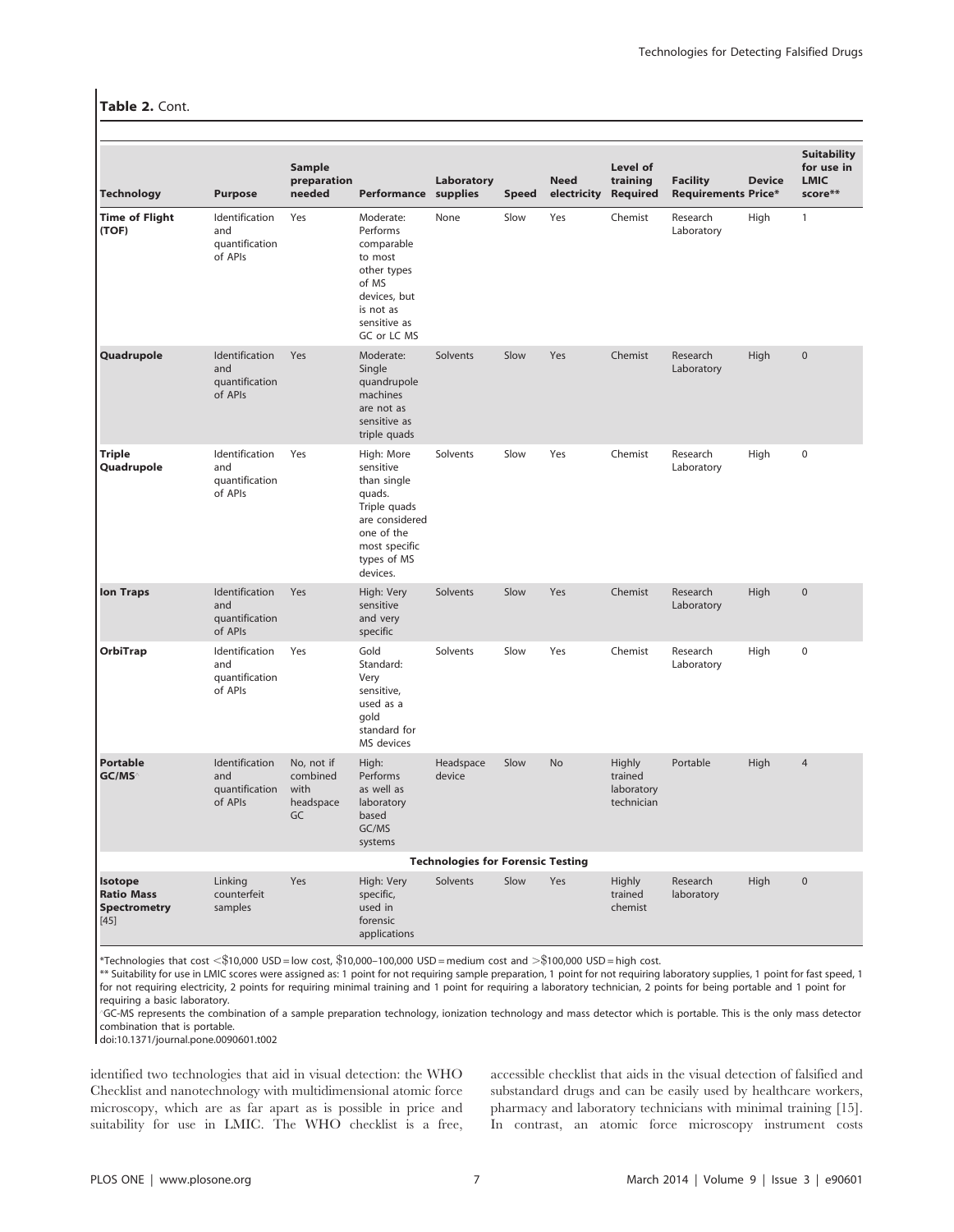#### Table 2. Cont.

| <b>Technology</b>                                             | <b>Purpose</b>                                     | Sample<br>preparation<br>needed                   | Performance supplies                                                                                                                         | Laboratory                               | <b>Speed</b> | <b>Need</b><br>electricity | Level of<br>training<br>Required              | <b>Facility</b><br><b>Requirements Price*</b> | <b>Device</b> | <b>Suitability</b><br>for use in<br><b>LMIC</b><br>score** |
|---------------------------------------------------------------|----------------------------------------------------|---------------------------------------------------|----------------------------------------------------------------------------------------------------------------------------------------------|------------------------------------------|--------------|----------------------------|-----------------------------------------------|-----------------------------------------------|---------------|------------------------------------------------------------|
| <b>Time of Flight</b><br>(TOF)                                | Identification<br>and<br>quantification<br>of APIs | Yes                                               | Moderate:<br>Performs<br>comparable<br>to most<br>other types<br>of MS<br>devices, but<br>is not as<br>sensitive as<br>GC or LC MS           | None                                     | Slow         | Yes                        | Chemist                                       | Research<br>Laboratory                        | High          | $\mathbf{1}$                                               |
| Quadrupole                                                    | Identification<br>and<br>quantification<br>of APIs | Yes                                               | Moderate:<br>Single<br>quandrupole<br>machines<br>are not as<br>sensitive as<br>triple quads                                                 | Solvents                                 | Slow         | Yes                        | Chemist                                       | Research<br>Laboratory                        | High          | $\overline{0}$                                             |
| <b>Triple</b><br>Quadrupole                                   | Identification<br>and<br>quantification<br>of APIs | Yes                                               | High: More<br>sensitive<br>than single<br>quads.<br>Triple quads<br>are considered<br>one of the<br>most specific<br>types of MS<br>devices. | Solvents                                 | Slow         | Yes                        | Chemist                                       | Research<br>Laboratory                        | High          | $\mathbf 0$                                                |
| <b>Ion Traps</b>                                              | Identification<br>and<br>quantification<br>of APIs | Yes                                               | High: Very<br>sensitive<br>and very<br>specific                                                                                              | Solvents                                 | Slow         | Yes                        | Chemist                                       | Research<br>Laboratory                        | High          | $\mathbf 0$                                                |
| OrbiTrap                                                      | Identification<br>and<br>quantification<br>of APIs | Yes                                               | Gold<br>Standard:<br>Very<br>sensitive,<br>used as a<br>gold<br>standard for<br>MS devices                                                   | Solvents                                 | Slow         | Yes                        | Chemist                                       | Research<br>Laboratory                        | High          | 0                                                          |
| <b>Portable</b><br>GC/MS <sup>^</sup>                         | Identification<br>and<br>quantification<br>of APIs | No, not if<br>combined<br>with<br>headspace<br>GC | High:<br>Performs<br>as well as<br>laboratory<br>based<br>GC/MS<br>systems                                                                   | Headspace<br>device                      | Slow         | <b>No</b>                  | Highly<br>trained<br>laboratory<br>technician | Portable                                      | High          | $\overline{4}$                                             |
|                                                               |                                                    |                                                   |                                                                                                                                              | <b>Technologies for Forensic Testing</b> |              |                            |                                               |                                               |               |                                                            |
| Isotope<br><b>Ratio Mass</b><br><b>Spectrometry</b><br>$[45]$ | Linking<br>counterfeit<br>samples                  | Yes                                               | High: Very<br>specific,<br>used in<br>forensic<br>applications                                                                               | Solvents                                 | Slow         | Yes                        | Highly<br>trained<br>chemist                  | Research<br>laboratory                        | High          | $\pmb{0}$                                                  |

 $*$ Technologies that cost  $<$  \$10,000 USD = low cost,  $$10,000$ –100,000 USD = medium cost and  $>$   $\$100,000$  USD = high cost.

\*\* Suitability for use in LMIC scores were assigned as: 1 point for not requiring sample preparation, 1 point for not requiring laboratory supplies, 1 point for fast speed, 1 for not requiring electricity, 2 points for requiring minimal training and 1 point for requiring a laboratory technician, 2 points for being portable and 1 point for requiring a basic laboratory.

'GC-MS represents the combination of a sample preparation technology, ionization technology and mass detector which is portable. This is the only mass detector combination that is portable.

doi:10.1371/journal.pone.0090601.t002

identified two technologies that aid in visual detection: the WHO Checklist and nanotechnology with multidimensional atomic force microscopy, which are as far apart as is possible in price and suitability for use in LMIC. The WHO checklist is a free, accessible checklist that aids in the visual detection of falsified and substandard drugs and can be easily used by healthcare workers, pharmacy and laboratory technicians with minimal training [15]. In contrast, an atomic force microscopy instrument costs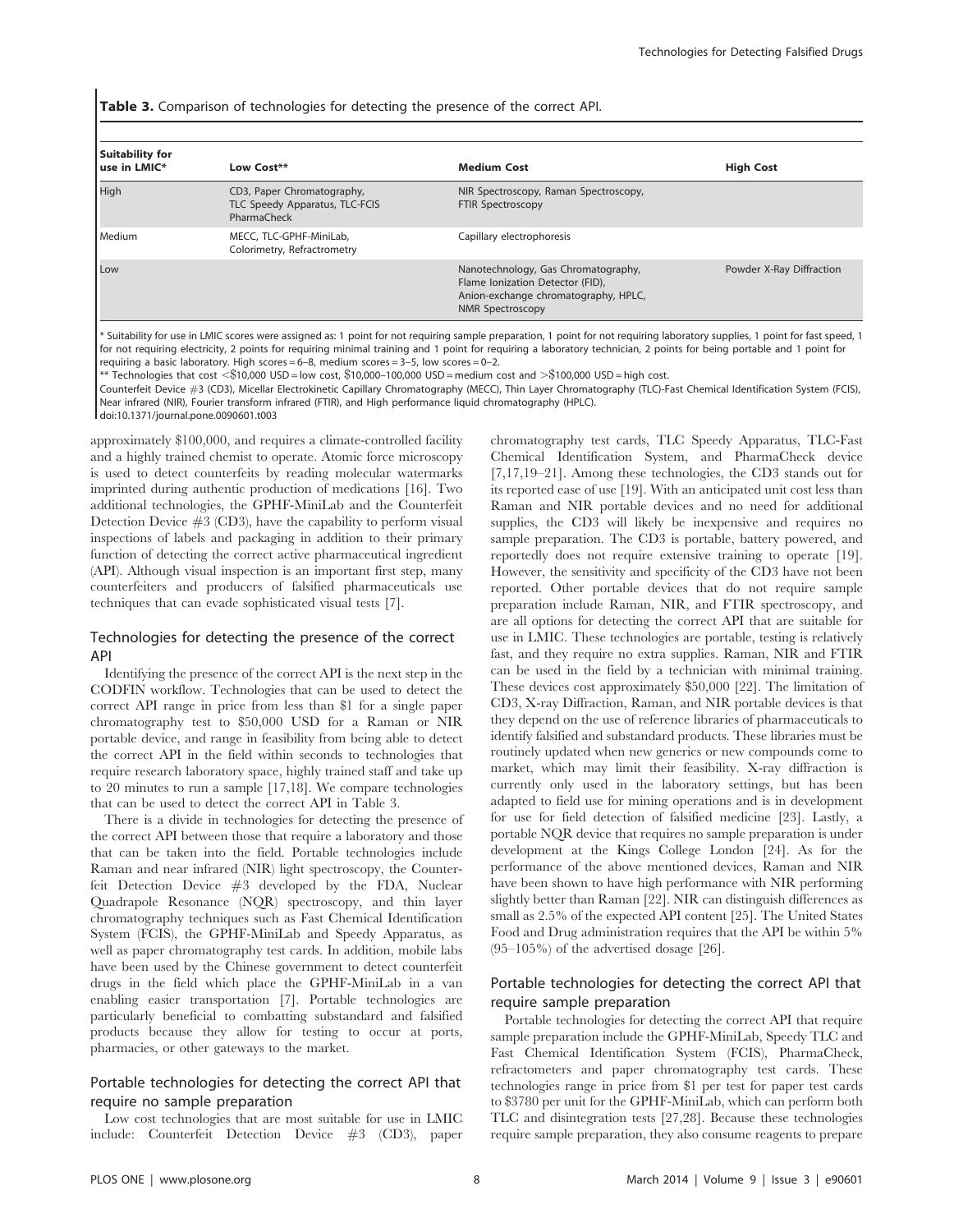Table 3. Comparison of technologies for detecting the presence of the correct API.

| <b>Suitability for</b><br>use in LMIC* | Low Cost**                                                                  | <b>Medium Cost</b>                                                                                                                  | <b>High Cost</b>         |
|----------------------------------------|-----------------------------------------------------------------------------|-------------------------------------------------------------------------------------------------------------------------------------|--------------------------|
| <b>High</b>                            | CD3, Paper Chromatography,<br>TLC Speedy Apparatus, TLC-FCIS<br>PharmaCheck | NIR Spectroscopy, Raman Spectroscopy,<br><b>FTIR Spectroscopy</b>                                                                   |                          |
| Medium                                 | MECC, TLC-GPHF-MiniLab,<br>Colorimetry, Refractrometry                      | Capillary electrophoresis                                                                                                           |                          |
| Low                                    |                                                                             | Nanotechnology, Gas Chromatography,<br>Flame Ionization Detector (FID),<br>Anion-exchange chromatography, HPLC,<br>NMR Spectroscopy | Powder X-Ray Diffraction |

\* Suitability for use in LMIC scores were assigned as: 1 point for not requiring sample preparation, 1 point for not requiring laboratory supplies, 1 point for fast speed, 1 for not requiring electricity, 2 points for requiring minimal training and 1 point for requiring a laboratory technician, 2 points for being portable and 1 point for requiring a basic laboratory. High scores  $= 6-8$ , medium scores  $= 3-5$ , low scores  $= 0-2$ .

 $**$  Technologies that cost  $<$  \$10,000 USD = low cost, \$10,000–100,000 USD = medium cost and  $>\$100,000$  USD = high cost.

Counterfeit Device #3 (CD3), Micellar Electrokinetic Capillary Chromatography (MECC), Thin Layer Chromatography (TLC)-Fast Chemical Identification System (FCIS), Near infrared (NIR), Fourier transform infrared (FTIR), and High performance liquid chromatography (HPLC).

doi:10.1371/journal.pone.0090601.t003

approximately \$100,000, and requires a climate-controlled facility and a highly trained chemist to operate. Atomic force microscopy is used to detect counterfeits by reading molecular watermarks imprinted during authentic production of medications [16]. Two additional technologies, the GPHF-MiniLab and the Counterfeit Detection Device  $#3$  (CD3), have the capability to perform visual inspections of labels and packaging in addition to their primary function of detecting the correct active pharmaceutical ingredient (API). Although visual inspection is an important first step, many counterfeiters and producers of falsified pharmaceuticals use techniques that can evade sophisticated visual tests [7].

#### Technologies for detecting the presence of the correct API

Identifying the presence of the correct API is the next step in the CODFIN workflow. Technologies that can be used to detect the correct API range in price from less than \$1 for a single paper chromatography test to \$50,000 USD for a Raman or NIR portable device, and range in feasibility from being able to detect the correct API in the field within seconds to technologies that require research laboratory space, highly trained staff and take up to 20 minutes to run a sample [17,18]. We compare technologies that can be used to detect the correct API in Table 3.

There is a divide in technologies for detecting the presence of the correct API between those that require a laboratory and those that can be taken into the field. Portable technologies include Raman and near infrared (NIR) light spectroscopy, the Counterfeit Detection Device #3 developed by the FDA, Nuclear Quadrapole Resonance (NQR) spectroscopy, and thin layer chromatography techniques such as Fast Chemical Identification System (FCIS), the GPHF-MiniLab and Speedy Apparatus, as well as paper chromatography test cards. In addition, mobile labs have been used by the Chinese government to detect counterfeit drugs in the field which place the GPHF-MiniLab in a van enabling easier transportation [7]. Portable technologies are particularly beneficial to combatting substandard and falsified products because they allow for testing to occur at ports, pharmacies, or other gateways to the market.

#### Portable technologies for detecting the correct API that require no sample preparation

Low cost technologies that are most suitable for use in LMIC include: Counterfeit Detection Device #3 (CD3), paper

chromatography test cards, TLC Speedy Apparatus, TLC-Fast Chemical Identification System, and PharmaCheck device [7,17,19–21]. Among these technologies, the CD3 stands out for its reported ease of use [19]. With an anticipated unit cost less than Raman and NIR portable devices and no need for additional supplies, the CD3 will likely be inexpensive and requires no sample preparation. The CD3 is portable, battery powered, and reportedly does not require extensive training to operate [19]. However, the sensitivity and specificity of the CD3 have not been reported. Other portable devices that do not require sample preparation include Raman, NIR, and FTIR spectroscopy, and are all options for detecting the correct API that are suitable for use in LMIC. These technologies are portable, testing is relatively fast, and they require no extra supplies. Raman, NIR and FTIR can be used in the field by a technician with minimal training. These devices cost approximately \$50,000 [22]. The limitation of CD3, X-ray Diffraction, Raman, and NIR portable devices is that they depend on the use of reference libraries of pharmaceuticals to identify falsified and substandard products. These libraries must be routinely updated when new generics or new compounds come to market, which may limit their feasibility. X-ray diffraction is currently only used in the laboratory settings, but has been adapted to field use for mining operations and is in development for use for field detection of falsified medicine [23]. Lastly, a portable NQR device that requires no sample preparation is under development at the Kings College London [24]. As for the performance of the above mentioned devices, Raman and NIR have been shown to have high performance with NIR performing slightly better than Raman [22]. NIR can distinguish differences as small as 2.5% of the expected API content [25]. The United States Food and Drug administration requires that the API be within 5% (95–105%) of the advertised dosage [26].

#### Portable technologies for detecting the correct API that require sample preparation

Portable technologies for detecting the correct API that require sample preparation include the GPHF-MiniLab, Speedy TLC and Fast Chemical Identification System (FCIS), PharmaCheck, refractometers and paper chromatography test cards. These technologies range in price from \$1 per test for paper test cards to \$3780 per unit for the GPHF-MiniLab, which can perform both TLC and disintegration tests [27,28]. Because these technologies require sample preparation, they also consume reagents to prepare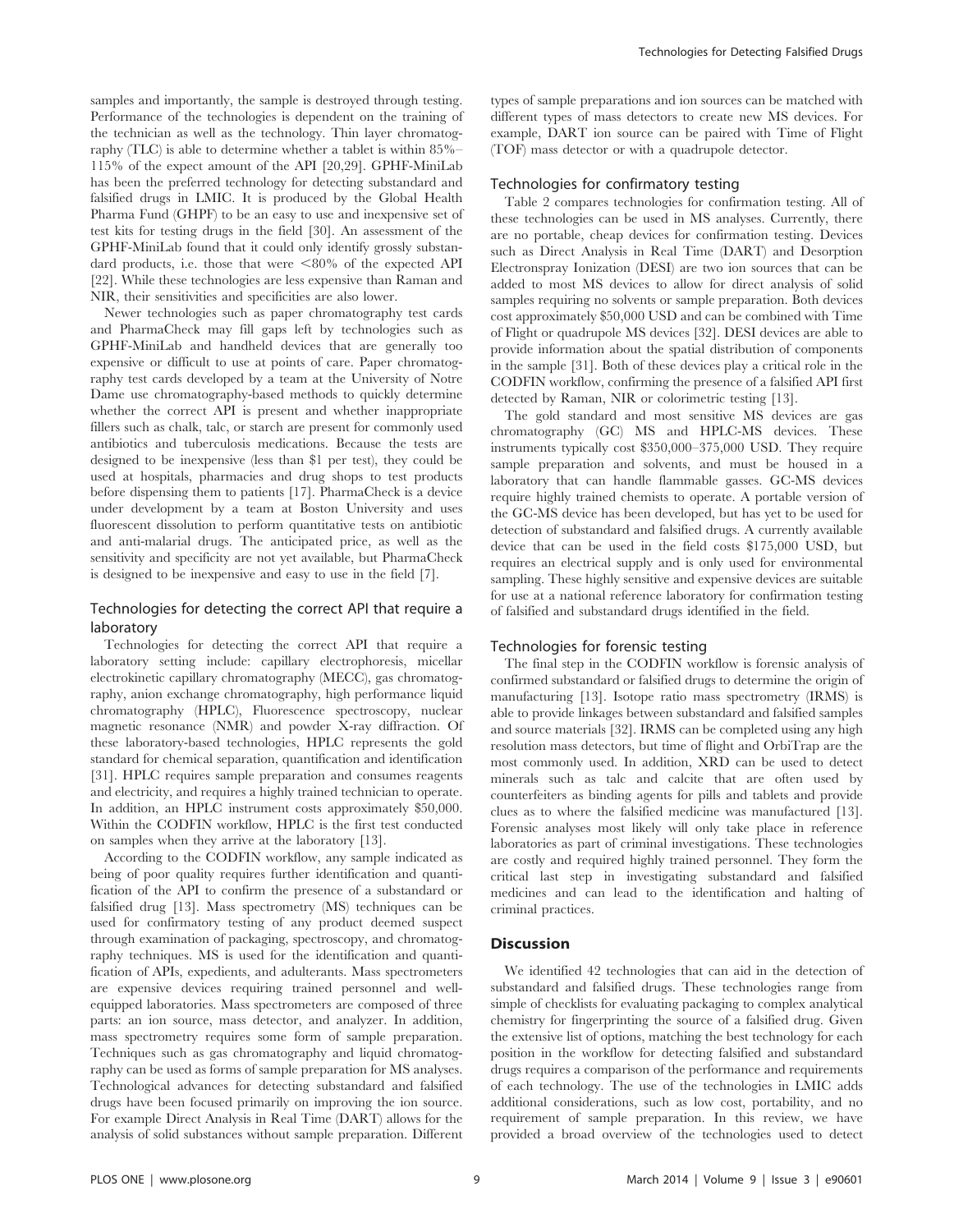samples and importantly, the sample is destroyed through testing. Performance of the technologies is dependent on the training of the technician as well as the technology. Thin layer chromatography (TLC) is able to determine whether a tablet is within 85%– 115% of the expect amount of the API [20,29]. GPHF-MiniLab has been the preferred technology for detecting substandard and falsified drugs in LMIC. It is produced by the Global Health Pharma Fund (GHPF) to be an easy to use and inexpensive set of test kits for testing drugs in the field [30]. An assessment of the GPHF-MiniLab found that it could only identify grossly substandard products, i.e. those that were  $<80\%$  of the expected API [22]. While these technologies are less expensive than Raman and NIR, their sensitivities and specificities are also lower.

Newer technologies such as paper chromatography test cards and PharmaCheck may fill gaps left by technologies such as GPHF-MiniLab and handheld devices that are generally too expensive or difficult to use at points of care. Paper chromatography test cards developed by a team at the University of Notre Dame use chromatography-based methods to quickly determine whether the correct API is present and whether inappropriate fillers such as chalk, talc, or starch are present for commonly used antibiotics and tuberculosis medications. Because the tests are designed to be inexpensive (less than \$1 per test), they could be used at hospitals, pharmacies and drug shops to test products before dispensing them to patients [17]. PharmaCheck is a device under development by a team at Boston University and uses fluorescent dissolution to perform quantitative tests on antibiotic and anti-malarial drugs. The anticipated price, as well as the sensitivity and specificity are not yet available, but PharmaCheck is designed to be inexpensive and easy to use in the field [7].

## Technologies for detecting the correct API that require a laboratory

Technologies for detecting the correct API that require a laboratory setting include: capillary electrophoresis, micellar electrokinetic capillary chromatography (MECC), gas chromatography, anion exchange chromatography, high performance liquid chromatography (HPLC), Fluorescence spectroscopy, nuclear magnetic resonance (NMR) and powder X-ray diffraction. Of these laboratory-based technologies, HPLC represents the gold standard for chemical separation, quantification and identification [31]. HPLC requires sample preparation and consumes reagents and electricity, and requires a highly trained technician to operate. In addition, an HPLC instrument costs approximately \$50,000. Within the CODFIN workflow, HPLC is the first test conducted on samples when they arrive at the laboratory [13].

According to the CODFIN workflow, any sample indicated as being of poor quality requires further identification and quantification of the API to confirm the presence of a substandard or falsified drug [13]. Mass spectrometry (MS) techniques can be used for confirmatory testing of any product deemed suspect through examination of packaging, spectroscopy, and chromatography techniques. MS is used for the identification and quantification of APIs, expedients, and adulterants. Mass spectrometers are expensive devices requiring trained personnel and wellequipped laboratories. Mass spectrometers are composed of three parts: an ion source, mass detector, and analyzer. In addition, mass spectrometry requires some form of sample preparation. Techniques such as gas chromatography and liquid chromatography can be used as forms of sample preparation for MS analyses. Technological advances for detecting substandard and falsified drugs have been focused primarily on improving the ion source. For example Direct Analysis in Real Time (DART) allows for the analysis of solid substances without sample preparation. Different types of sample preparations and ion sources can be matched with different types of mass detectors to create new MS devices. For example, DART ion source can be paired with Time of Flight (TOF) mass detector or with a quadrupole detector.

#### Technologies for confirmatory testing

Table 2 compares technologies for confirmation testing. All of these technologies can be used in MS analyses. Currently, there are no portable, cheap devices for confirmation testing. Devices such as Direct Analysis in Real Time (DART) and Desorption Electronspray Ionization (DESI) are two ion sources that can be added to most MS devices to allow for direct analysis of solid samples requiring no solvents or sample preparation. Both devices cost approximately \$50,000 USD and can be combined with Time of Flight or quadrupole MS devices [32]. DESI devices are able to provide information about the spatial distribution of components in the sample [31]. Both of these devices play a critical role in the CODFIN workflow, confirming the presence of a falsified API first detected by Raman, NIR or colorimetric testing [13].

The gold standard and most sensitive MS devices are gas chromatography (GC) MS and HPLC-MS devices. These instruments typically cost \$350,000–375,000 USD. They require sample preparation and solvents, and must be housed in a laboratory that can handle flammable gasses. GC-MS devices require highly trained chemists to operate. A portable version of the GC-MS device has been developed, but has yet to be used for detection of substandard and falsified drugs. A currently available device that can be used in the field costs \$175,000 USD, but requires an electrical supply and is only used for environmental sampling. These highly sensitive and expensive devices are suitable for use at a national reference laboratory for confirmation testing of falsified and substandard drugs identified in the field.

#### Technologies for forensic testing

The final step in the CODFIN workflow is forensic analysis of confirmed substandard or falsified drugs to determine the origin of manufacturing [13]. Isotope ratio mass spectrometry (IRMS) is able to provide linkages between substandard and falsified samples and source materials [32]. IRMS can be completed using any high resolution mass detectors, but time of flight and OrbiTrap are the most commonly used. In addition, XRD can be used to detect minerals such as talc and calcite that are often used by counterfeiters as binding agents for pills and tablets and provide clues as to where the falsified medicine was manufactured [13]. Forensic analyses most likely will only take place in reference laboratories as part of criminal investigations. These technologies are costly and required highly trained personnel. They form the critical last step in investigating substandard and falsified medicines and can lead to the identification and halting of criminal practices.

#### Discussion

We identified 42 technologies that can aid in the detection of substandard and falsified drugs. These technologies range from simple of checklists for evaluating packaging to complex analytical chemistry for fingerprinting the source of a falsified drug. Given the extensive list of options, matching the best technology for each position in the workflow for detecting falsified and substandard drugs requires a comparison of the performance and requirements of each technology. The use of the technologies in LMIC adds additional considerations, such as low cost, portability, and no requirement of sample preparation. In this review, we have provided a broad overview of the technologies used to detect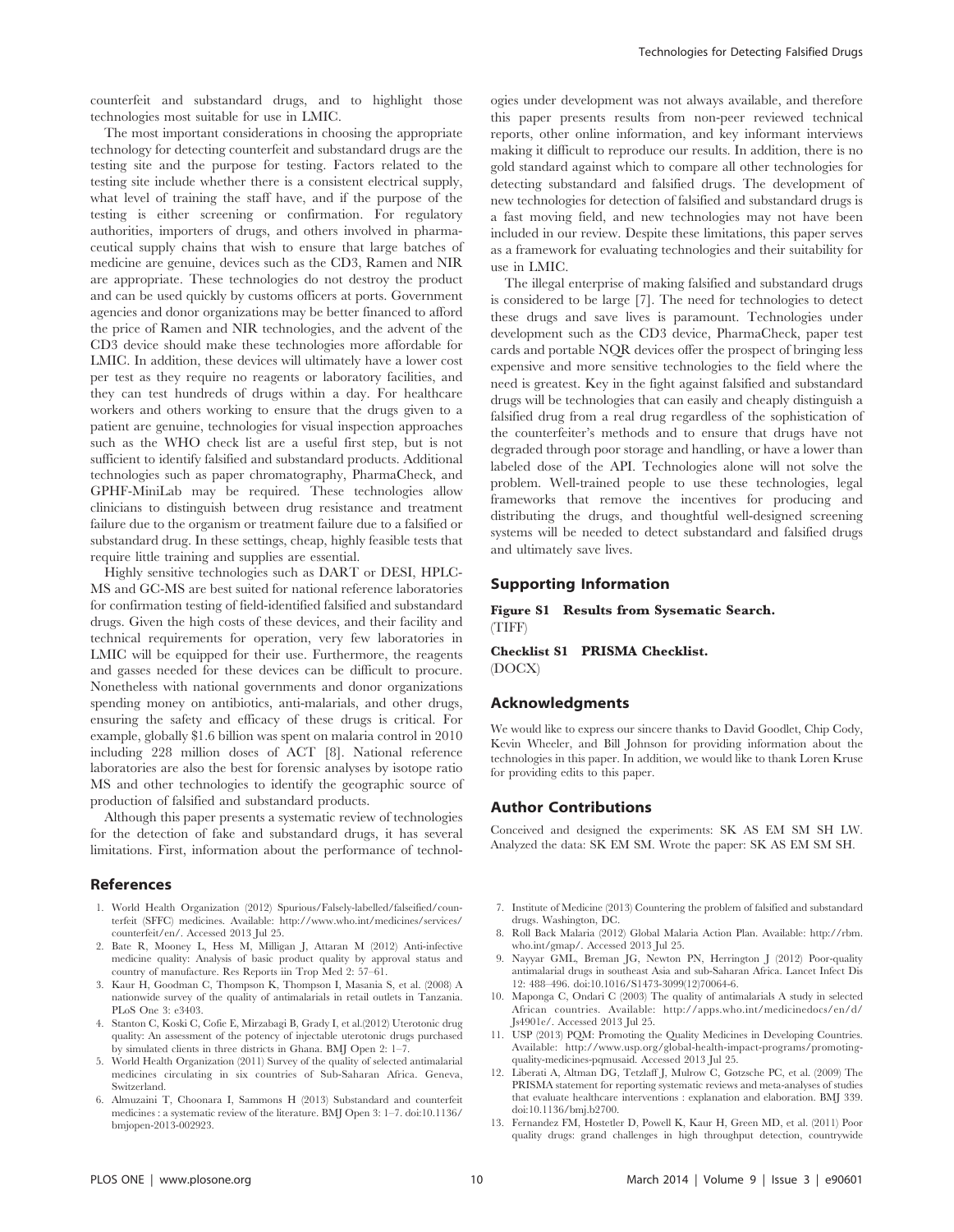counterfeit and substandard drugs, and to highlight those technologies most suitable for use in LMIC.

The most important considerations in choosing the appropriate technology for detecting counterfeit and substandard drugs are the testing site and the purpose for testing. Factors related to the testing site include whether there is a consistent electrical supply, what level of training the staff have, and if the purpose of the testing is either screening or confirmation. For regulatory authorities, importers of drugs, and others involved in pharmaceutical supply chains that wish to ensure that large batches of medicine are genuine, devices such as the CD3, Ramen and NIR are appropriate. These technologies do not destroy the product and can be used quickly by customs officers at ports. Government agencies and donor organizations may be better financed to afford the price of Ramen and NIR technologies, and the advent of the CD3 device should make these technologies more affordable for LMIC. In addition, these devices will ultimately have a lower cost per test as they require no reagents or laboratory facilities, and they can test hundreds of drugs within a day. For healthcare workers and others working to ensure that the drugs given to a patient are genuine, technologies for visual inspection approaches such as the WHO check list are a useful first step, but is not sufficient to identify falsified and substandard products. Additional technologies such as paper chromatography, PharmaCheck, and GPHF-MiniLab may be required. These technologies allow clinicians to distinguish between drug resistance and treatment failure due to the organism or treatment failure due to a falsified or substandard drug. In these settings, cheap, highly feasible tests that require little training and supplies are essential.

Highly sensitive technologies such as DART or DESI, HPLC-MS and GC-MS are best suited for national reference laboratories for confirmation testing of field-identified falsified and substandard drugs. Given the high costs of these devices, and their facility and technical requirements for operation, very few laboratories in LMIC will be equipped for their use. Furthermore, the reagents and gasses needed for these devices can be difficult to procure. Nonetheless with national governments and donor organizations spending money on antibiotics, anti-malarials, and other drugs, ensuring the safety and efficacy of these drugs is critical. For example, globally \$1.6 billion was spent on malaria control in 2010 including 228 million doses of ACT [8]. National reference laboratories are also the best for forensic analyses by isotope ratio MS and other technologies to identify the geographic source of production of falsified and substandard products.

Although this paper presents a systematic review of technologies for the detection of fake and substandard drugs, it has several limitations. First, information about the performance of technol-

#### References

- 1. World Health Organization (2012) Spurious/Falsely-labelled/falseified/counterfeit (SFFC) medicines. Available: [http://www.who.int/medicines/services/](http://www.who.int/medicines/services/counterfeit/en/) [counterfeit/en/.](http://www.who.int/medicines/services/counterfeit/en/) Accessed 2013 Jul 25.
- 2. Bate R, Mooney L, Hess M, Milligan J, Attaran M (2012) Anti-infective medicine quality: Analysis of basic product quality by approval status and country of manufacture. Res Reports iin Trop Med 2: 57–61.
- 3. Kaur H, Goodman C, Thompson K, Thompson I, Masania S, et al. (2008) A nationwide survey of the quality of antimalarials in retail outlets in Tanzania. PLoS One 3: e3403.
- 4. Stanton C, Koski C, Cofie E, Mirzabagi B, Grady I, et al.(2012) Uterotonic drug quality: An assessment of the potency of injectable uterotonic drugs purchased by simulated clients in three districts in Ghana. BMJ Open 2: 1–7.
- 5. World Health Organization (2011) Survey of the quality of selected antimalarial medicines circulating in six countries of Sub-Saharan Africa. Geneva, Switzerland.
- 6. Almuzaini T, Choonara I, Sammons H (2013) Substandard and counterfeit medicines : a systematic review of the literature. BMJ Open 3: 1–7. doi:10.1136/ bmjopen-2013-002923.

ogies under development was not always available, and therefore this paper presents results from non-peer reviewed technical reports, other online information, and key informant interviews making it difficult to reproduce our results. In addition, there is no gold standard against which to compare all other technologies for detecting substandard and falsified drugs. The development of new technologies for detection of falsified and substandard drugs is a fast moving field, and new technologies may not have been included in our review. Despite these limitations, this paper serves as a framework for evaluating technologies and their suitability for use in LMIC.

The illegal enterprise of making falsified and substandard drugs is considered to be large [7]. The need for technologies to detect these drugs and save lives is paramount. Technologies under development such as the CD3 device, PharmaCheck, paper test cards and portable NQR devices offer the prospect of bringing less expensive and more sensitive technologies to the field where the need is greatest. Key in the fight against falsified and substandard drugs will be technologies that can easily and cheaply distinguish a falsified drug from a real drug regardless of the sophistication of the counterfeiter's methods and to ensure that drugs have not degraded through poor storage and handling, or have a lower than labeled dose of the API. Technologies alone will not solve the problem. Well-trained people to use these technologies, legal frameworks that remove the incentives for producing and distributing the drugs, and thoughtful well-designed screening systems will be needed to detect substandard and falsified drugs and ultimately save lives.

#### Supporting Information

Figure S1 Results from Sysematic Search. (TIFF)

Checklist S1 PRISMA Checklist. (DOCX)

#### Acknowledgments

We would like to express our sincere thanks to David Goodlet, Chip Cody, Kevin Wheeler, and Bill Johnson for providing information about the technologies in this paper. In addition, we would like to thank Loren Kruse for providing edits to this paper.

#### Author Contributions

Conceived and designed the experiments: SK AS EM SM SH LW. Analyzed the data: SK EM SM. Wrote the paper: SK AS EM SM SH.

- 7. Institute of Medicine (2013) Countering the problem of falsified and substandard drugs. Washington, DC.
- 8. Roll Back Malaria (2012) Global Malaria Action Plan. Available: [http://rbm.](http://rbm.who.int/gmap/) [who.int/gmap/](http://rbm.who.int/gmap/). Accessed 2013 Jul 25.
- 9. Nayyar GML, Breman JG, Newton PN, Herrington J (2012) Poor-quality antimalarial drugs in southeast Asia and sub-Saharan Africa. Lancet Infect Dis 12: 488–496. doi:10.1016/S1473-3099(12)70064-6.
- 10. Maponga C, Ondari C (2003) The quality of antimalarials A study in selected African countries. Available: [http://apps.who.int/medicinedocs/en/d/](http://apps.who.int/medicinedocs/en/d/Js4901e/) [Js4901e/](http://apps.who.int/medicinedocs/en/d/Js4901e/). Accessed 2013 Jul 25.
- 11. USP (2013) PQM: Promoting the Quality Medicines in Developing Countries. Available: [http://www.usp.org/global-health-impact-programs/promoting](http://www.usp.org/global-health-impact-programs/promoting-quality-medicines-pqmusaid)[quality-medicines-pqmusaid.](http://www.usp.org/global-health-impact-programs/promoting-quality-medicines-pqmusaid) Accessed 2013 Jul 25.
- 12. Liberati A, Altman DG, Tetzlaff J, Mulrow C, Gøtzsche PC, et al. (2009) The PRISMA statement for reporting systematic reviews and meta-analyses of studies that evaluate healthcare interventions : explanation and elaboration. BMJ 339. doi:10.1136/bmj.b2700.
- 13. Fernandez FM, Hostetler D, Powell K, Kaur H, Green MD, et al. (2011) Poor quality drugs: grand challenges in high throughput detection, countrywide